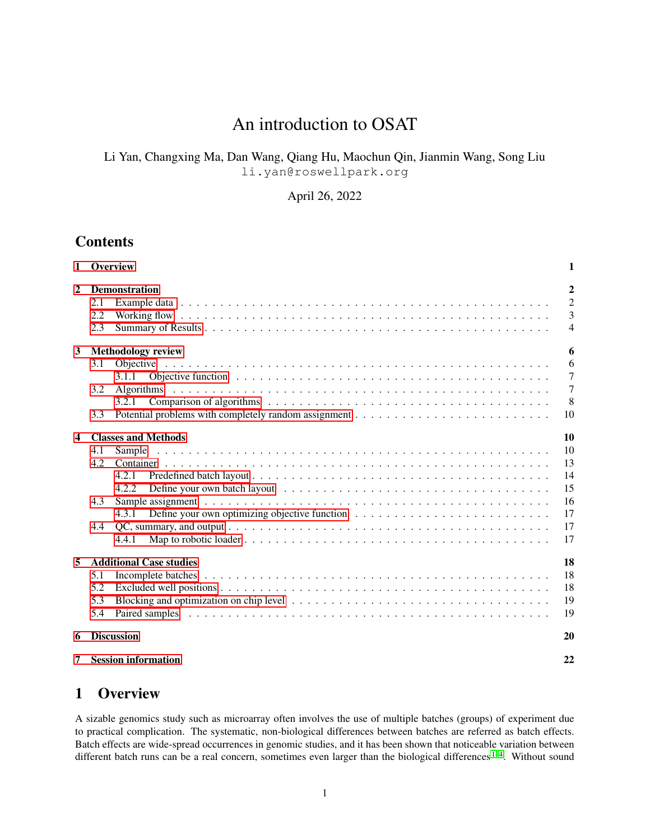# An introduction to OSAT

# Li Yan, Changxing Ma, Dan Wang, Qiang Hu, Maochun Qin, Jianmin Wang, Song Liu li.yan@roswellpark.org

April 26, 2022

# Contents

|                         | 1 Overview        |                                                                                                                                                                                                                                        | 1                                                                    |
|-------------------------|-------------------|----------------------------------------------------------------------------------------------------------------------------------------------------------------------------------------------------------------------------------------|----------------------------------------------------------------------|
| $\mathbf{2}$            | 2.1<br>2.2<br>2.3 | <b>Demonstration</b>                                                                                                                                                                                                                   | $\overline{2}$<br>$\overline{2}$<br>$\overline{3}$<br>$\overline{4}$ |
| 3                       |                   | <b>Methodology review</b>                                                                                                                                                                                                              | 6                                                                    |
|                         | 3.1<br>3.2        | Objective function respectively. The contract of the contract of the contract of the contract of the contract of the contract of the contract of the contract of the contract of the contract of the contract of the contract<br>3.1.1 | 6<br>$\overline{7}$<br>$\overline{7}$                                |
|                         | 3.3               | 3.2.1                                                                                                                                                                                                                                  | 8<br>10                                                              |
| $\overline{\mathbf{4}}$ |                   | <b>Classes and Methods</b>                                                                                                                                                                                                             | 10                                                                   |
|                         | 4.1               | Sample                                                                                                                                                                                                                                 | 10                                                                   |
|                         | 4.2               |                                                                                                                                                                                                                                        | 13                                                                   |
|                         |                   | 4.2.1<br>4.2.2                                                                                                                                                                                                                         | 14<br>15                                                             |
|                         | 4.3               |                                                                                                                                                                                                                                        | 16                                                                   |
|                         |                   | 4.3.1                                                                                                                                                                                                                                  | 17                                                                   |
|                         | 4.4               | 4.4.1                                                                                                                                                                                                                                  | 17<br>17                                                             |
| 5                       |                   | <b>Additional Case studies</b>                                                                                                                                                                                                         | 18                                                                   |
|                         | 5.1               |                                                                                                                                                                                                                                        | 18                                                                   |
|                         | 5.2               |                                                                                                                                                                                                                                        | 18                                                                   |
|                         | 5.3<br>5.4        |                                                                                                                                                                                                                                        | 19<br>19                                                             |
|                         |                   |                                                                                                                                                                                                                                        |                                                                      |
| 6                       |                   | <b>Discussion</b>                                                                                                                                                                                                                      | 20                                                                   |
| 7                       |                   | <b>Session information</b>                                                                                                                                                                                                             | 22                                                                   |

# <span id="page-0-0"></span>1 Overview

A sizable genomics study such as microarray often involves the use of multiple batches (groups) of experiment due to practical complication. The systematic, non-biological differences between batches are referred as batch effects. Batch effects are wide-spread occurrences in genomic studies, and it has been shown that noticeable variation between different batch runs can be a real concern, sometimes even larger than the biological differences<sup>[1](#page-21-1)-4</sup>. Without sound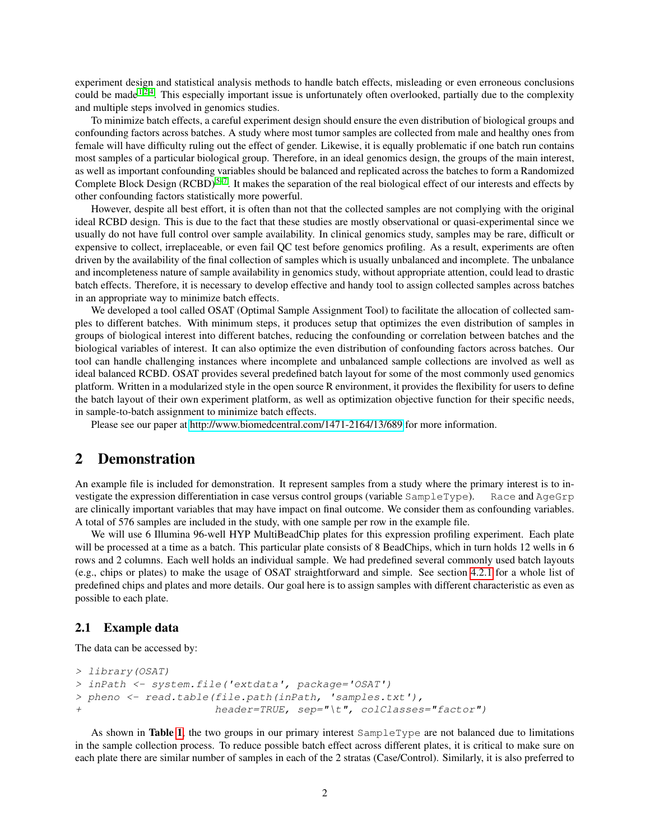experiment design and statistical analysis methods to handle batch effects, misleading or even erroneous conclusions could be made <sup>[1,](#page-21-1)[2](#page-21-2)[,4](#page-22-0)</sup>. This especially important issue is unfortunately often overlooked, partially due to the complexity and multiple steps involved in genomics studies.

To minimize batch effects, a careful experiment design should ensure the even distribution of biological groups and confounding factors across batches. A study where most tumor samples are collected from male and healthy ones from female will have difficulty ruling out the effect of gender. Likewise, it is equally problematic if one batch run contains most samples of a particular biological group. Therefore, in an ideal genomics design, the groups of the main interest, as well as important confounding variables should be balanced and replicated across the batches to form a Randomized Complete Block Design  $(RCBD)^{5-7}$  $(RCBD)^{5-7}$  $(RCBD)^{5-7}$ . It makes the separation of the real biological effect of our interests and effects by other confounding factors statistically more powerful.

However, despite all best effort, it is often than not that the collected samples are not complying with the original ideal RCBD design. This is due to the fact that these studies are mostly observational or quasi-experimental since we usually do not have full control over sample availability. In clinical genomics study, samples may be rare, difficult or expensive to collect, irreplaceable, or even fail QC test before genomics profiling. As a result, experiments are often driven by the availability of the final collection of samples which is usually unbalanced and incomplete. The unbalance and incompleteness nature of sample availability in genomics study, without appropriate attention, could lead to drastic batch effects. Therefore, it is necessary to develop effective and handy tool to assign collected samples across batches in an appropriate way to minimize batch effects.

We developed a tool called OSAT (Optimal Sample Assignment Tool) to facilitate the allocation of collected samples to different batches. With minimum steps, it produces setup that optimizes the even distribution of samples in groups of biological interest into different batches, reducing the confounding or correlation between batches and the biological variables of interest. It can also optimize the even distribution of confounding factors across batches. Our tool can handle challenging instances where incomplete and unbalanced sample collections are involved as well as ideal balanced RCBD. OSAT provides several predefined batch layout for some of the most commonly used genomics platform. Written in a modularized style in the open source R environment, it provides the flexibility for users to define the batch layout of their own experiment platform, as well as optimization objective function for their specific needs, in sample-to-batch assignment to minimize batch effects.

Please see our paper at<http://www.biomedcentral.com/1471-2164/13/689> for more information.

## <span id="page-1-0"></span>2 Demonstration

An example file is included for demonstration. It represent samples from a study where the primary interest is to investigate the expression differentiation in case versus control groups (variable SampleType). Race and AgeGrp are clinically important variables that may have impact on final outcome. We consider them as confounding variables. A total of 576 samples are included in the study, with one sample per row in the example file.

We will use 6 Illumina 96-well HYP MultiBeadChip plates for this expression profiling experiment. Each plate will be processed at a time as a batch. This particular plate consists of 8 BeadChips, which in turn holds 12 wells in 6 rows and 2 columns. Each well holds an individual sample. We had predefined several commonly used batch layouts (e.g., chips or plates) to make the usage of OSAT straightforward and simple. See section [4.2.1](#page-13-0) for a whole list of predefined chips and plates and more details. Our goal here is to assign samples with different characteristic as even as possible to each plate.

## <span id="page-1-1"></span>2.1 Example data

The data can be accessed by:

```
> library(OSAT)
> inPath <- system.file('extdata', package='OSAT')
> pheno <- read.table(file.path(inPath, 'samples.txt'),
+ header=TRUE, sep="\t", colClasses="factor")
```
As shown in Table [1](#page-2-1), the two groups in our primary interest  $SampleType$  are not balanced due to limitations in the sample collection process. To reduce possible batch effect across different plates, it is critical to make sure on each plate there are similar number of samples in each of the 2 stratas (Case/Control). Similarly, it is also preferred to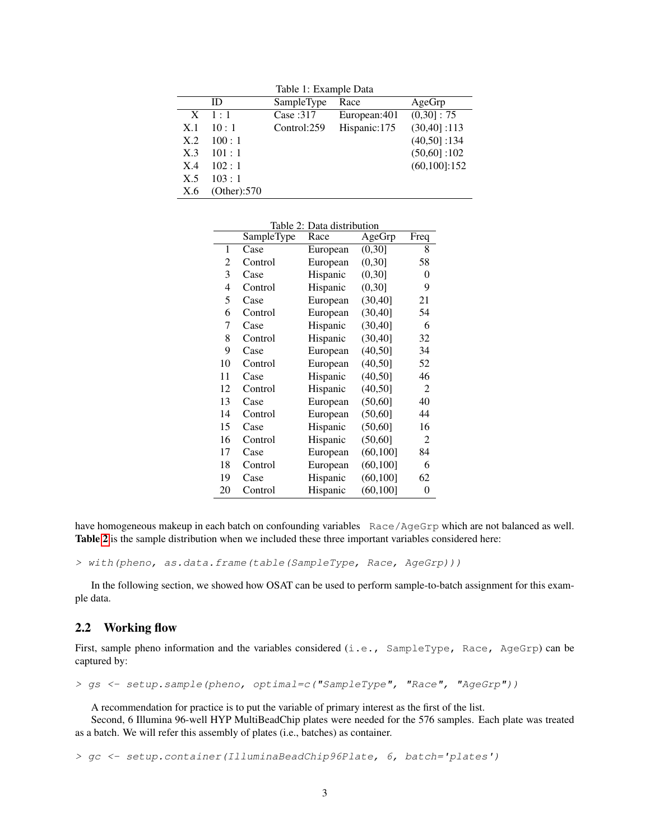<span id="page-2-1"></span>Table 1: Example Data

|              | ID          | SampleType  | Race         | AgeGrp         |
|--------------|-------------|-------------|--------------|----------------|
| $\mathbf{X}$ | $-1:1$      | Case:317    | European:401 | $(0,30]$ : 75  |
| X.1          | 10:1        | Control:259 | Hispanic:175 | $(30,40]$ :113 |
| X.2          | 100:1       |             |              | $(40,50]$ :134 |
| X.3          | 101:1       |             |              | $(50,60]$ :102 |
| X.4          | 102:1       |             |              | (60, 100]:152  |
| X.5          | 103:1       |             |              |                |
| X.6          | (Other):570 |             |              |                |

<span id="page-2-2"></span>Table 2: Data distribution

|    | SampleType | Race     | AgeGrp    | Freq |
|----|------------|----------|-----------|------|
| 1  | Case       | European | (0,30]    | 8    |
| 2  | Control    | European | (0,30]    | 58   |
| 3  | Case       | Hispanic | (0,30]    | 0    |
| 4  | Control    | Hispanic | (0,30]    | 9    |
| 5  | Case       | European | (30, 40]  | 21   |
| 6  | Control    | European | (30, 40]  | 54   |
| 7  | Case       | Hispanic | (30, 40]  | 6    |
| 8  | Control    | Hispanic | (30, 40]  | 32   |
| 9  | Case       | European | (40, 50]  | 34   |
| 10 | Control    | European | (40, 50]  | 52   |
| 11 | Case       | Hispanic | (40, 50]  | 46   |
| 12 | Control    | Hispanic | (40, 50]  | 2    |
| 13 | Case       | European | (50, 60]  | 40   |
| 14 | Control    | European | (50,60]   | 44   |
| 15 | Case       | Hispanic | (50, 60]  | 16   |
| 16 | Control    | Hispanic | (50, 60]  | 2    |
| 17 | Case       | European | (60, 100] | 84   |
| 18 | Control    | European | (60, 100] | 6    |
| 19 | Case       | Hispanic | (60, 100] | 62   |
| 20 | Control    | Hispanic | (60, 100] | 0    |

have homogeneous makeup in each batch on confounding variables Race/AgeGrp which are not balanced as well. Table [2](#page-2-2) is the sample distribution when we included these three important variables considered here:

> with(pheno, as.data.frame(table(SampleType, Race, AgeGrp)))

In the following section, we showed how OSAT can be used to perform sample-to-batch assignment for this example data.

## <span id="page-2-0"></span>2.2 Working flow

First, sample pheno information and the variables considered (i.e., SampleType, Race, AgeGrp) can be captured by:

> gs <- setup.sample(pheno, optimal=c("SampleType", "Race", "AgeGrp"))

A recommendation for practice is to put the variable of primary interest as the first of the list.

Second, 6 Illumina 96-well HYP MultiBeadChip plates were needed for the 576 samples. Each plate was treated as a batch. We will refer this assembly of plates (i.e., batches) as container.

> gc <- setup.container(IlluminaBeadChip96Plate, 6, batch='plates')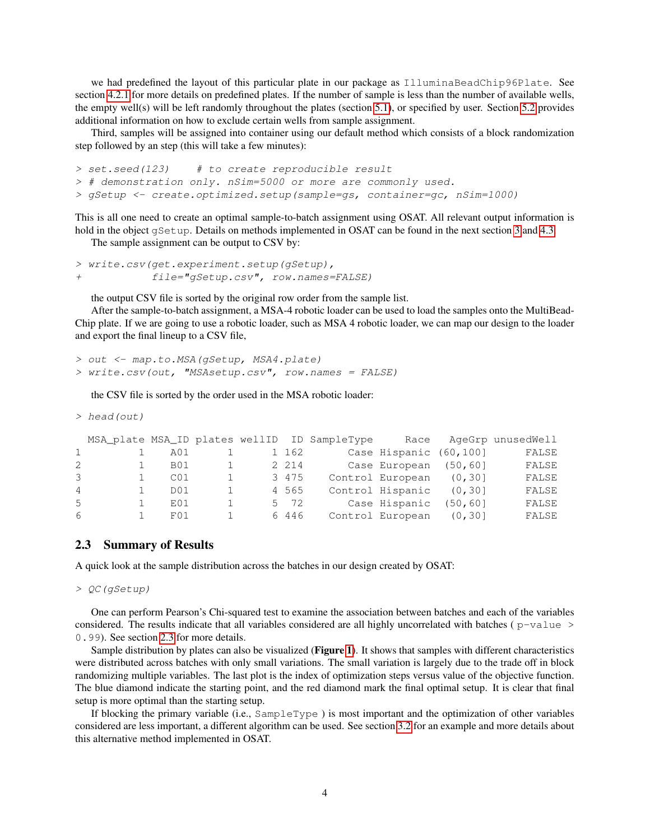we had predefined the layout of this particular plate in our package as IlluminaBeadChip96Plate. See section [4.2.1](#page-13-0) for more details on predefined plates. If the number of sample is less than the number of available wells, the empty well(s) will be left randomly throughout the plates (section [5.1\)](#page-17-1), or specified by user. Section [5.2](#page-17-2) provides additional information on how to exclude certain wells from sample assignment.

Third, samples will be assigned into container using our default method which consists of a block randomization step followed by an step (this will take a few minutes):

```
> set.seed(123) # to create reproducible result
> # demonstration only. nSim=5000 or more are commonly used.
> gSetup <- create.optimized.setup(sample=gs, container=gc, nSim=1000)
```
This is all one need to create an optimal sample-to-batch assignment using OSAT. All relevant output information is hold in the object gSetup. Details on methods implemented in OSAT can be found in the next section [3](#page-5-0) and [4.3.](#page-15-0)

The sample assignment can be output to CSV by:

```
> write.csv(get.experiment.setup(gSetup),
            file="gSetup.csv", row.names=FALSE)
```
the output CSV file is sorted by the original row order from the sample list.

After the sample-to-batch assignment, a MSA-4 robotic loader can be used to load the samples onto the MultiBead-Chip plate. If we are going to use a robotic loader, such as MSA 4 robotic loader, we can map our design to the loader and export the final lineup to a CSV file,

```
> out <- map.to.MSA(gSetup, MSA4.plate)
> write.csv(out, "MSAsetup.csv", row.names = FALSE)
```
the CSV file is sorted by the order used in the MSA robotic loader:

```
> head(out)
```

|                |                 |    |         | MSA_plate MSA_ID plates wellID ID SampleType | Race                   |          | AgeGrp unusedWell |
|----------------|-----------------|----|---------|----------------------------------------------|------------------------|----------|-------------------|
|                | A01             |    | 1 162   |                                              | Case Hispanic (60,100] |          | FALSE             |
| 2              | B01             |    | 2 2 1 4 |                                              | Case European (50,60)  |          | FALSE             |
| 3              | C <sub>01</sub> |    | 3 4 7 5 |                                              | Control European       | (0, 30]  | FALSE             |
| $\overline{4}$ | D <sub>01</sub> | 1. | 4 5 6 5 |                                              | Control Hispanic       | (0, 30]  | FALSE             |
| 5              | F.01            |    | 5 72    |                                              | Case Hispanic          | (50, 60] | FALSE             |
| 6              | F()1            |    | 6 4 4 6 |                                              | Control European       | (0, 30]  | FALSE             |

## <span id="page-3-0"></span>2.3 Summary of Results

A quick look at the sample distribution across the batches in our design created by OSAT:

> QC(gSetup)

One can perform Pearson's Chi-squared test to examine the association between batches and each of the variables considered. The results indicate that all variables considered are all highly uncorrelated with batches ( $p-value >$ 0.99). See section [2.3](#page-3-0) for more details.

Sample distribution by plates can also be visualized (Figure [1](#page-4-0)). It shows that samples with different characteristics were distributed across batches with only small variations. The small variation is largely due to the trade off in block randomizing multiple variables. The last plot is the index of optimization steps versus value of the objective function. The blue diamond indicate the starting point, and the red diamond mark the final optimal setup. It is clear that final setup is more optimal than the starting setup.

If blocking the primary variable (i.e., SampleType ) is most important and the optimization of other variables considered are less important, a different algorithm can be used. See section [3.2](#page-6-1) for an example and more details about this alternative method implemented in OSAT.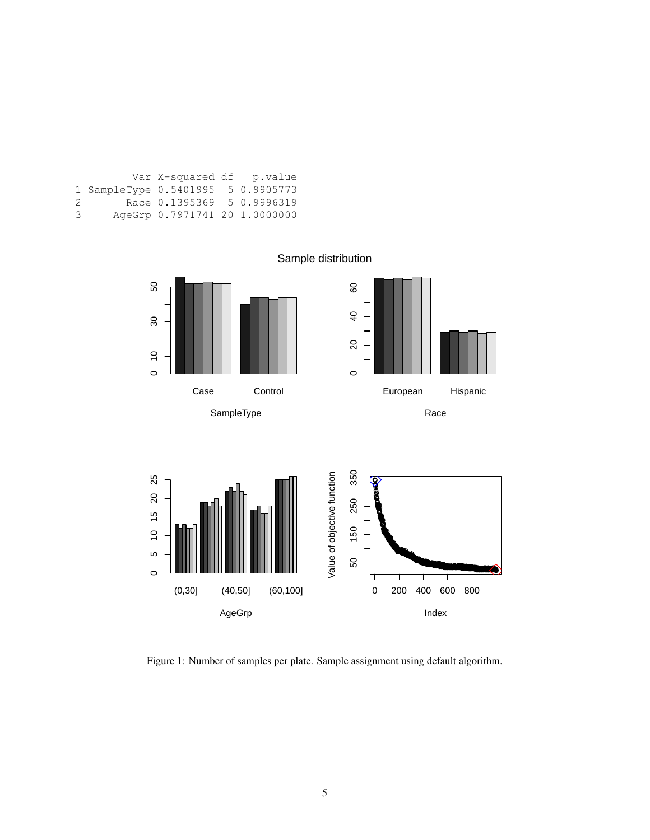|    |                                    | Var X-squared df p.value      |  |
|----|------------------------------------|-------------------------------|--|
|    | 1 SampleType 0.5401995 5 0.9905773 |                               |  |
| 2. |                                    | Race 0.1395369 5 0.9996319    |  |
| 3  |                                    | AgeGrp 0.7971741 20 1.0000000 |  |



<span id="page-4-0"></span>Figure 1: Number of samples per plate. Sample assignment using default algorithm.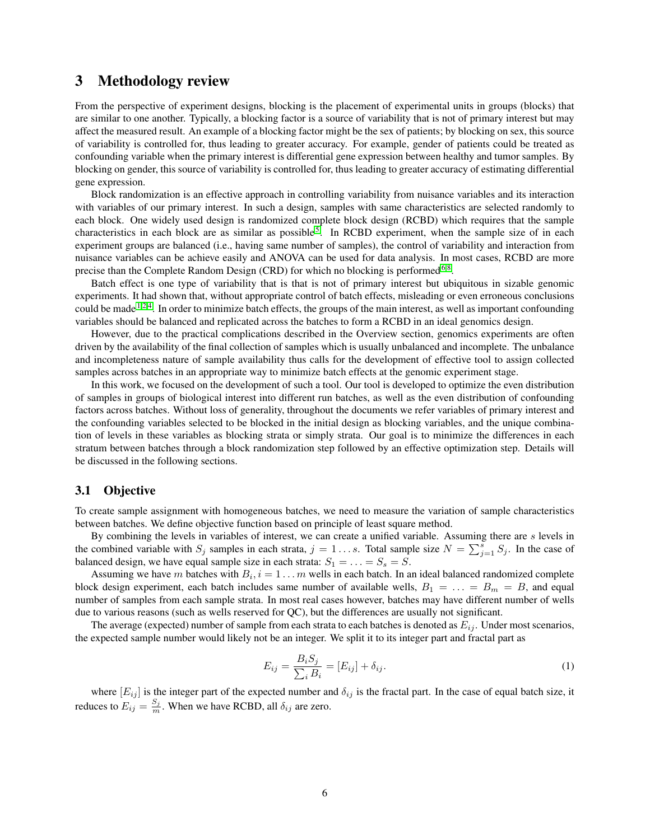# <span id="page-5-0"></span>3 Methodology review

From the perspective of experiment designs, blocking is the placement of experimental units in groups (blocks) that are similar to one another. Typically, a blocking factor is a source of variability that is not of primary interest but may affect the measured result. An example of a blocking factor might be the sex of patients; by blocking on sex, this source of variability is controlled for, thus leading to greater accuracy. For example, gender of patients could be treated as confounding variable when the primary interest is differential gene expression between healthy and tumor samples. By blocking on gender, this source of variability is controlled for, thus leading to greater accuracy of estimating differential gene expression.

Block randomization is an effective approach in controlling variability from nuisance variables and its interaction with variables of our primary interest. In such a design, samples with same characteristics are selected randomly to each block. One widely used design is randomized complete block design (RCBD) which requires that the sample characteristics in each block are as similar as possible<sup>[5](#page-22-1)</sup>. In RCBD experiment, when the sample size of in each experiment groups are balanced (i.e., having same number of samples), the control of variability and interaction from nuisance variables can be achieve easily and ANOVA can be used for data analysis. In most cases, RCBD are more precise than the Complete Random Design (CRD) for which no blocking is performed<sup>[6,](#page-22-3)[8](#page-22-4)</sup>.

Batch effect is one type of variability that is that is not of primary interest but ubiquitous in sizable genomic experiments. It had shown that, without appropriate control of batch effects, misleading or even erroneous conclusions could be made <sup>[1,](#page-21-1)[2,](#page-21-2)[4](#page-22-0)</sup>. In order to minimize batch effects, the groups of the main interest, as well as important confounding variables should be balanced and replicated across the batches to form a RCBD in an ideal genomics design.

However, due to the practical complications described in the Overview section, genomics experiments are often driven by the availability of the final collection of samples which is usually unbalanced and incomplete. The unbalance and incompleteness nature of sample availability thus calls for the development of effective tool to assign collected samples across batches in an appropriate way to minimize batch effects at the genomic experiment stage.

In this work, we focused on the development of such a tool. Our tool is developed to optimize the even distribution of samples in groups of biological interest into different run batches, as well as the even distribution of confounding factors across batches. Without loss of generality, throughout the documents we refer variables of primary interest and the confounding variables selected to be blocked in the initial design as blocking variables, and the unique combination of levels in these variables as blocking strata or simply strata. Our goal is to minimize the differences in each stratum between batches through a block randomization step followed by an effective optimization step. Details will be discussed in the following sections.

## <span id="page-5-1"></span>3.1 Objective

To create sample assignment with homogeneous batches, we need to measure the variation of sample characteristics between batches. We define objective function based on principle of least square method.

By combining the levels in variables of interest, we can create a unified variable. Assuming there are s levels in the combined variable with  $S_j$  samples in each strata,  $j = 1...s$ . Total sample size  $N = \sum_{j=1}^s S_j$ . In the case of balanced design, we have equal sample size in each strata:  $S_1 = \ldots = S_s = S$ .

Assuming we have m batches with  $B_i$ ,  $i = 1 \dots m$  wells in each batch. In an ideal balanced randomized complete block design experiment, each batch includes same number of available wells,  $B_1 = \ldots = B_m = B$ , and equal number of samples from each sample strata. In most real cases however, batches may have different number of wells due to various reasons (such as wells reserved for QC), but the differences are usually not significant.

The average (expected) number of sample from each strata to each batches is denoted as  $E_{ij}$ . Under most scenarios, the expected sample number would likely not be an integer. We split it to its integer part and fractal part as

$$
E_{ij} = \frac{B_i S_j}{\sum_i B_i} = [E_{ij}] + \delta_{ij}.
$$
\n<sup>(1)</sup>

where  $[E_{ij}]$  is the integer part of the expected number and  $\delta_{ij}$  is the fractal part. In the case of equal batch size, it reduces to  $E_{ij} = \frac{S_j}{m}$ . When we have RCBD, all  $\delta_{ij}$  are zero.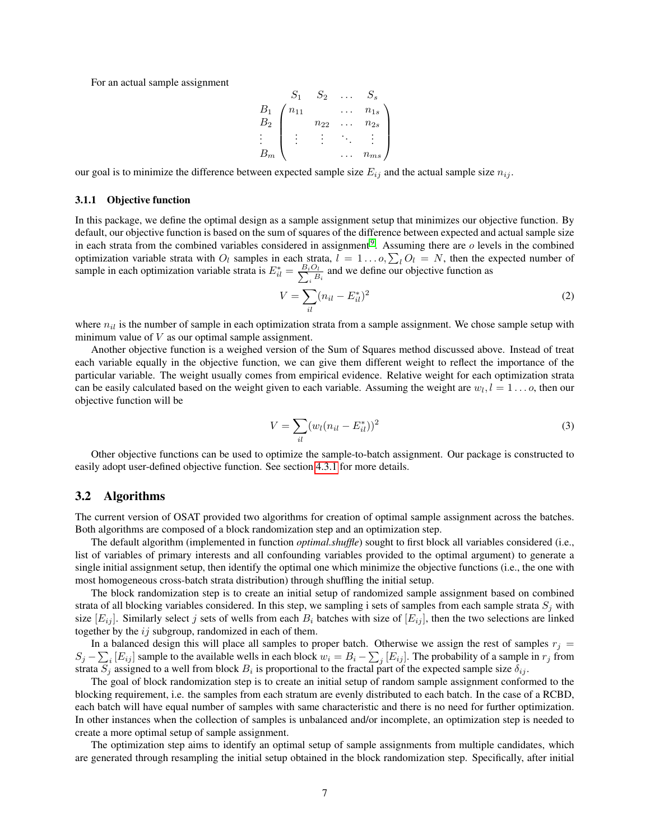For an actual sample assignment

$$
B_1 \n B_2 \n \begin{pmatrix}\n S_1 & S_2 & \dots & S_s \\
 n_{11} & \dots & n_{1s} \\
 n_{22} & \dots & n_{2s} \\
 \vdots & \vdots & \ddots & \vdots \\
 B_m \n \end{pmatrix}
$$

our goal is to minimize the difference between expected sample size  $E_{ij}$  and the actual sample size  $n_{ij}$ .

#### <span id="page-6-0"></span>3.1.1 Objective function

In this package, we define the optimal design as a sample assignment setup that minimizes our objective function. By default, our objective function is based on the sum of squares of the difference between expected and actual sample size in each strata from the combined variables considered in assignment<sup>[9](#page-22-5)</sup>. Assuming there are  $o$  levels in the combined optimization variable strata with  $O_l$  samples in each strata,  $l = 1...o, \sum_l O_l = N$ , then the expected number of sample in each optimization variable strata is  $E_{il}^* = \frac{B_i O_l}{\sum_i B}$  $\frac{\partial u}{\partial s}$  and we define our objective function as

$$
V = \sum_{il} (n_{il} - E_{il}^*)^2
$$
 (2)

where  $n_{il}$  is the number of sample in each optimization strata from a sample assignment. We chose sample setup with minimum value of  $V$  as our optimal sample assignment.

Another objective function is a weighed version of the Sum of Squares method discussed above. Instead of treat each variable equally in the objective function, we can give them different weight to reflect the importance of the particular variable. The weight usually comes from empirical evidence. Relative weight for each optimization strata can be easily calculated based on the weight given to each variable. Assuming the weight are  $w_l, l = 1...$ , then our objective function will be

$$
V = \sum_{il} (w_l (n_{il} - E_{il}^*))^2
$$
 (3)

Other objective functions can be used to optimize the sample-to-batch assignment. Our package is constructed to easily adopt user-defined objective function. See section [4.3.1](#page-16-0) for more details.

#### <span id="page-6-1"></span>3.2 Algorithms

The current version of OSAT provided two algorithms for creation of optimal sample assignment across the batches. Both algorithms are composed of a block randomization step and an optimization step.

The default algorithm (implemented in function *optimal.shuffle*) sought to first block all variables considered (i.e., list of variables of primary interests and all confounding variables provided to the optimal argument) to generate a single initial assignment setup, then identify the optimal one which minimize the objective functions (i.e., the one with most homogeneous cross-batch strata distribution) through shuffling the initial setup.

The block randomization step is to create an initial setup of randomized sample assignment based on combined strata of all blocking variables considered. In this step, we sampling i sets of samples from each sample strata  $S_j$  with size  $[E_{ij}]$ . Similarly select j sets of wells from each  $B_i$  batches with size of  $[E_{ij}]$ , then the two selections are linked together by the  $ij$  subgroup, randomized in each of them.

In a balanced design this will place all samples to proper batch. Otherwise we assign the rest of samples  $r_j =$  $S_j - \sum_i [E_{ij}]$  sample to the available wells in each block  $w_i = B_i - \sum_j [E_{ij}]$ . The probability of a sample in  $r_j$  from strata  $S_j$  assigned to a well from block  $B_i$  is proportional to the fractal part of the expected sample size  $\delta_{ij}$ .

The goal of block randomization step is to create an initial setup of random sample assignment conformed to the blocking requirement, i.e. the samples from each stratum are evenly distributed to each batch. In the case of a RCBD, each batch will have equal number of samples with same characteristic and there is no need for further optimization. In other instances when the collection of samples is unbalanced and/or incomplete, an optimization step is needed to create a more optimal setup of sample assignment.

The optimization step aims to identify an optimal setup of sample assignments from multiple candidates, which are generated through resampling the initial setup obtained in the block randomization step. Specifically, after initial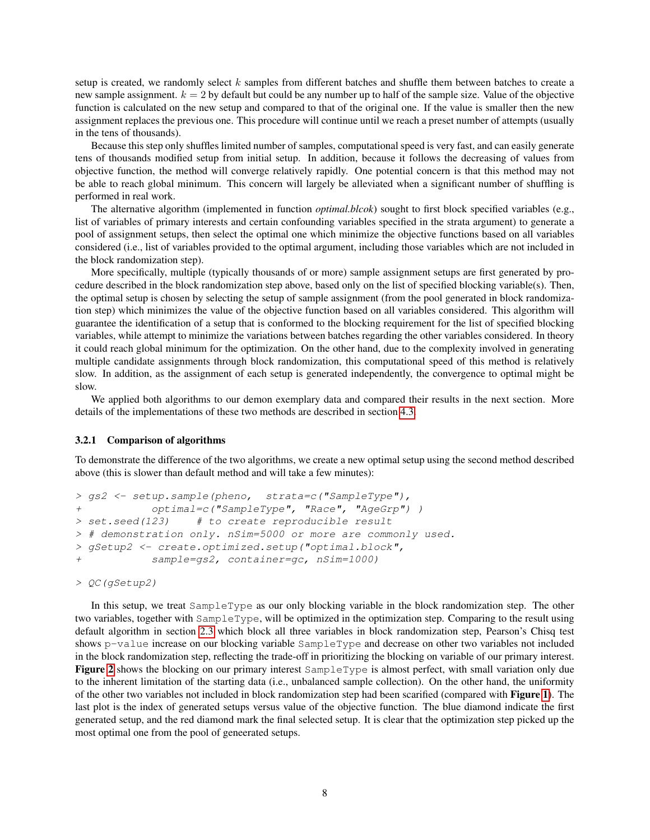setup is created, we randomly select  $k$  samples from different batches and shuffle them between batches to create a new sample assignment.  $k = 2$  by default but could be any number up to half of the sample size. Value of the objective function is calculated on the new setup and compared to that of the original one. If the value is smaller then the new assignment replaces the previous one. This procedure will continue until we reach a preset number of attempts (usually in the tens of thousands).

Because this step only shuffles limited number of samples, computational speed is very fast, and can easily generate tens of thousands modified setup from initial setup. In addition, because it follows the decreasing of values from objective function, the method will converge relatively rapidly. One potential concern is that this method may not be able to reach global minimum. This concern will largely be alleviated when a significant number of shuffling is performed in real work.

The alternative algorithm (implemented in function *optimal.blcok*) sought to first block specified variables (e.g., list of variables of primary interests and certain confounding variables specified in the strata argument) to generate a pool of assignment setups, then select the optimal one which minimize the objective functions based on all variables considered (i.e., list of variables provided to the optimal argument, including those variables which are not included in the block randomization step).

More specifically, multiple (typically thousands of or more) sample assignment setups are first generated by procedure described in the block randomization step above, based only on the list of specified blocking variable(s). Then, the optimal setup is chosen by selecting the setup of sample assignment (from the pool generated in block randomization step) which minimizes the value of the objective function based on all variables considered. This algorithm will guarantee the identification of a setup that is conformed to the blocking requirement for the list of specified blocking variables, while attempt to minimize the variations between batches regarding the other variables considered. In theory it could reach global minimum for the optimization. On the other hand, due to the complexity involved in generating multiple candidate assignments through block randomization, this computational speed of this method is relatively slow. In addition, as the assignment of each setup is generated independently, the convergence to optimal might be slow.

We applied both algorithms to our demon exemplary data and compared their results in the next section. More details of the implementations of these two methods are described in section [4.3.](#page-15-0)

#### <span id="page-7-0"></span>3.2.1 Comparison of algorithms

To demonstrate the difference of the two algorithms, we create a new optimal setup using the second method described above (this is slower than default method and will take a few minutes):

```
> gs2 <- setup.sample(pheno, strata=c("SampleType"),
+ optimal=c("SampleType", "Race", "AgeGrp") )
> set.seed(123) # to create reproducible result
> # demonstration only. nSim=5000 or more are commonly used.
> gSetup2 <- create.optimized.setup("optimal.block",
+ sample=gs2, container=gc, nSim=1000)
```
> QC(gSetup2)

In this setup, we treat SampleType as our only blocking variable in the block randomization step. The other two variables, together with SampleType, will be optimized in the optimization step. Comparing to the result using default algorithm in section [2.3](#page-3-0) which block all three variables in block randomization step, Pearson's Chisq test shows p-value increase on our blocking variable SampleType and decrease on other two variables not included in the block randomization step, reflecting the trade-off in prioritizing the blocking on variable of our primary interest. Figure [2](#page-8-0) shows the blocking on our primary interest SampleType is almost perfect, with small variation only due to the inherent limitation of the starting data (i.e., unbalanced sample collection). On the other hand, the uniformity of the other two variables not included in block randomization step had been scarified (compared with Figure [1](#page-4-0)). The last plot is the index of generated setups versus value of the objective function. The blue diamond indicate the first generated setup, and the red diamond mark the final selected setup. It is clear that the optimization step picked up the most optimal one from the pool of geneerated setups.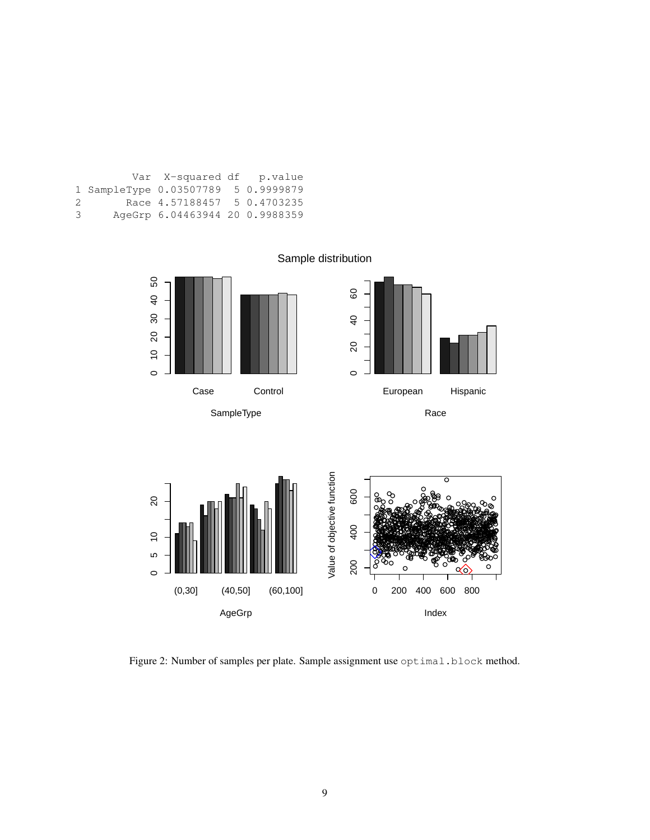|    |                                     | Var X-squared df p.value       |  |
|----|-------------------------------------|--------------------------------|--|
|    | 1 SampleType 0.03507789 5 0.9999879 |                                |  |
| 2. |                                     | Race 4.57188457 5 0.4703235    |  |
| 3  |                                     | AgeGrp 6.04463944 20 0.9988359 |  |



<span id="page-8-0"></span>Figure 2: Number of samples per plate. Sample assignment use optimal.block method.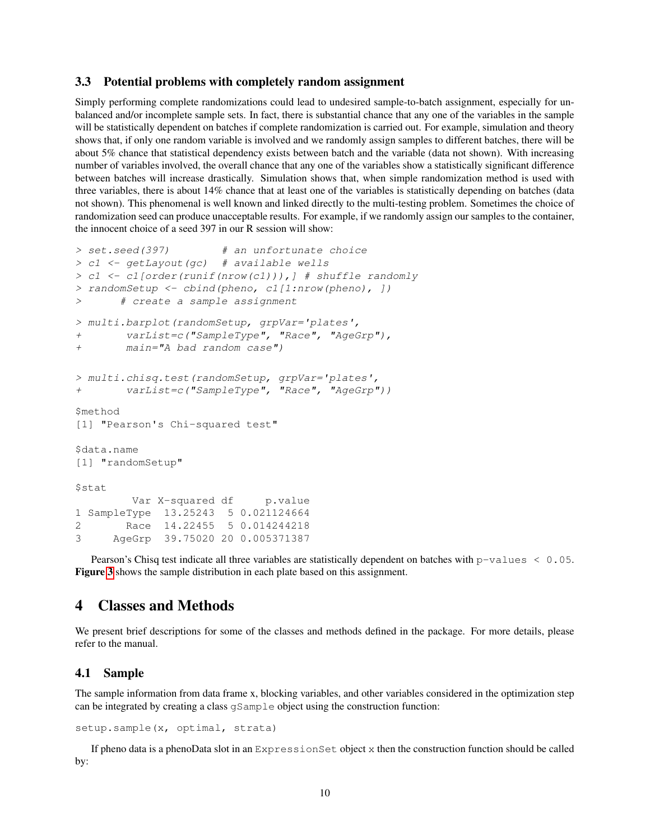## <span id="page-9-0"></span>3.3 Potential problems with completely random assignment

Simply performing complete randomizations could lead to undesired sample-to-batch assignment, especially for unbalanced and/or incomplete sample sets. In fact, there is substantial chance that any one of the variables in the sample will be statistically dependent on batches if complete randomization is carried out. For example, simulation and theory shows that, if only one random variable is involved and we randomly assign samples to different batches, there will be about 5% chance that statistical dependency exists between batch and the variable (data not shown). With increasing number of variables involved, the overall chance that any one of the variables show a statistically significant difference between batches will increase drastically. Simulation shows that, when simple randomization method is used with three variables, there is about 14% chance that at least one of the variables is statistically depending on batches (data not shown). This phenomenal is well known and linked directly to the multi-testing problem. Sometimes the choice of randomization seed can produce unacceptable results. For example, if we randomly assign our samples to the container, the innocent choice of a seed 397 in our R session will show:

```
> set.seed(397) # an unfortunate choice
> c1 <- getLayout(gc) # available wells
> c1 <- c1[order(runif(nrow(c1))),] # shuffle randomly
> randomSetup <- cbind(pheno, c1[1:nrow(pheno), ])
> # create a sample assignment
> multi.barplot(randomSetup, grpVar='plates',
+ varList=c("SampleType", "Race", "AgeGrp"),
+ main="A bad random case")
> multi.chisq.test(randomSetup, grpVar='plates',
+ varList=c("SampleType", "Race", "AgeGrp"))
$method
[1] "Pearson's Chi-squared test"
$data.name
[1] "randomSetup"
$stat
        Var X-squared df p.value
1 SampleType 13.25243 5 0.021124664
2 Race 14.22455 5 0.014244218
3 AgeGrp 39.75020 20 0.005371387
```
Pearson's Chisq test indicate all three variables are statistically dependent on batches with p-values < 0.05. Figure [3](#page-10-0) shows the sample distribution in each plate based on this assignment.

# <span id="page-9-1"></span>4 Classes and Methods

We present brief descriptions for some of the classes and methods defined in the package. For more details, please refer to the manual.

## <span id="page-9-2"></span>4.1 Sample

The sample information from data frame x, blocking variables, and other variables considered in the optimization step can be integrated by creating a class gSample object using the construction function:

```
setup.sample(x, optimal, strata)
```
If pheno data is a phenoData slot in an ExpressionSet object x then the construction function should be called by: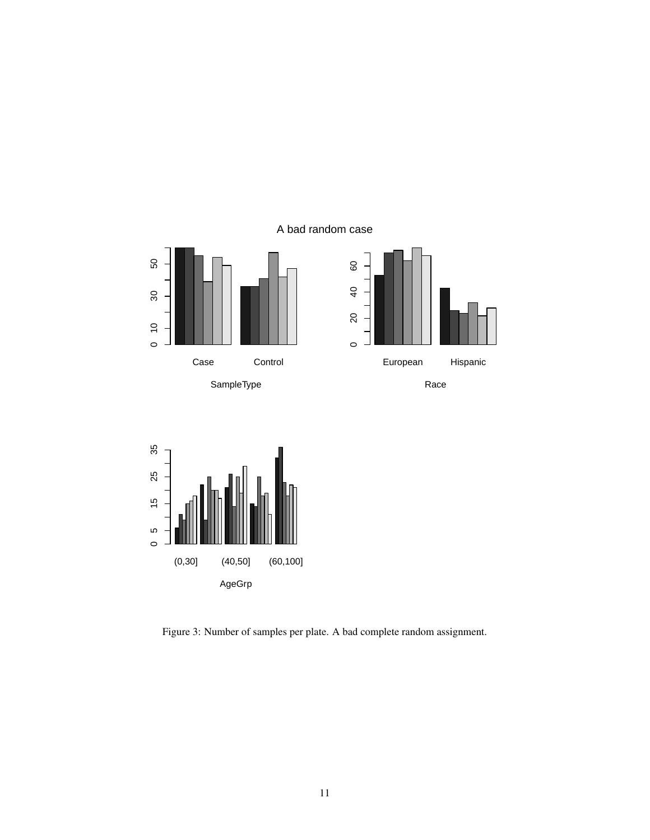A bad random case







<span id="page-10-0"></span>Figure 3: Number of samples per plate. A bad complete random assignment.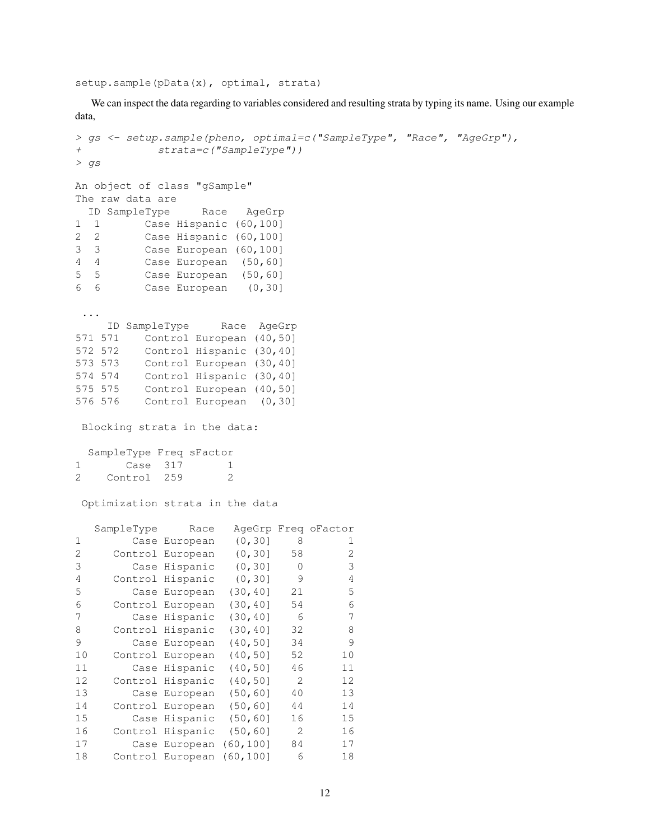setup.sample(pData(x), optimal, strata)

We can inspect the data regarding to variables considered and resulting strata by typing its name. Using our example data,

```
> gs <- setup.sample(pheno, optimal=c("SampleType", "Race", "AgeGrp"),
+ strata=c("SampleType"))
> gs
An object of class "gSample"
The raw data are
 ID SampleType Race AgeGrp
1 1 Case Hispanic (60,100]
2 2 Case Hispanic (60,100]
3 3 Case European (60,100]
4 4 Case European (50,60]
5 5 Case European (50,60]
6 6 Case European (0,30]
 ...
   ID SampleType Race AgeGrp
571 571 Control European (40,50]
572 572 Control Hispanic (30,40]
573 573 Control European (30,40]
574 574 Control Hispanic (30,40]
575 575 Control European (40,50]
576 576 Control European (0,30]
Blocking strata in the data:
 SampleType Freq sFactor
1 Case 317 1
2 Control 259 2
Optimization strata in the data
  SampleType Race AgeGrp Freq oFactor
1 Case European (0,30] 8 1
2 Control European (0,30] 58 2
3 Case Hispanic (0,30] 0 3
4 Control Hispanic (0,30] 9 4
5 Case European (30,40] 21 5
6 Control European (30,40] 54 6
7 Case Hispanic (30,40] 6 7
8 Control Hispanic (30,40] 32 8
9 Case European (40,50] 34 9
10 Control European (40,50] 52 10
11 Case Hispanic (40,50] 46 11
12 Control Hispanic (40,50] 2 12
13 Case European (50,60] 40 13
14 Control European (50,60] 44 14
15 Case Hispanic (50,60] 16 15
16 Control Hispanic (50,60] 2 16
17 Case European (60,100] 84 17
18 Control European (60,100] 6 18
```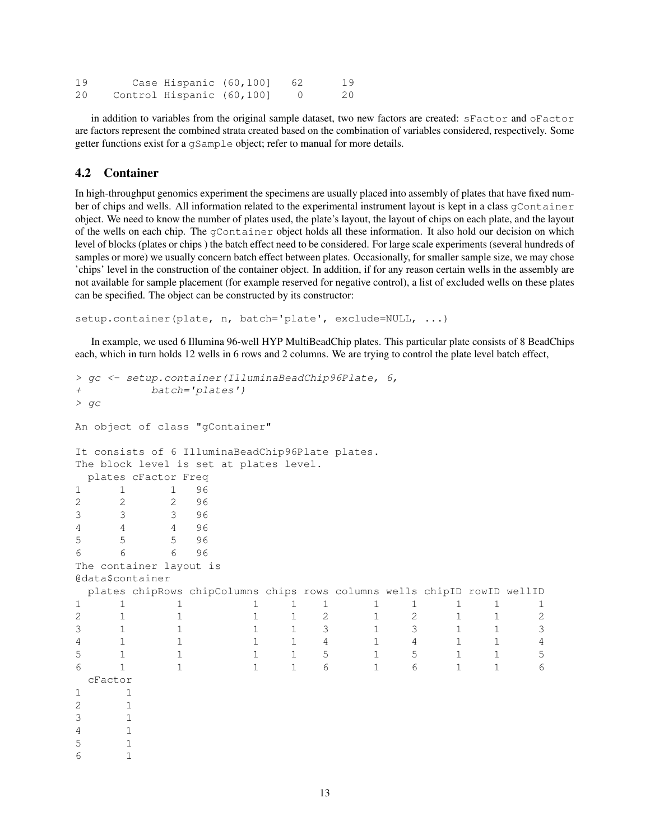| 19 | Case Hispanic (60,100]    |  | 19 |
|----|---------------------------|--|----|
| 20 | Control Hispanic (60,100] |  | 20 |

in addition to variables from the original sample dataset, two new factors are created: sFactor and oFactor are factors represent the combined strata created based on the combination of variables considered, respectively. Some getter functions exist for a gSample object; refer to manual for more details.

## <span id="page-12-0"></span>4.2 Container

In high-throughput genomics experiment the specimens are usually placed into assembly of plates that have fixed number of chips and wells. All information related to the experimental instrument layout is kept in a class  $q$ Container object. We need to know the number of plates used, the plate's layout, the layout of chips on each plate, and the layout of the wells on each chip. The gContainer object holds all these information. It also hold our decision on which level of blocks (plates or chips ) the batch effect need to be considered. For large scale experiments (several hundreds of samples or more) we usually concern batch effect between plates. Occasionally, for smaller sample size, we may chose 'chips' level in the construction of the container object. In addition, if for any reason certain wells in the assembly are not available for sample placement (for example reserved for negative control), a list of excluded wells on these plates can be specified. The object can be constructed by its constructor:

setup.container(plate, n, batch='plate', exclude=NULL, ...)

In example, we used 6 Illumina 96-well HYP MultiBeadChip plates. This particular plate consists of 8 BeadChips each, which in turn holds 12 wells in 6 rows and 2 columns. We are trying to control the plate level batch effect,

```
> gc <- setup.container(IlluminaBeadChip96Plate, 6,
+ batch='plates')
> gc
An object of class "gContainer"
It consists of 6 IlluminaBeadChip96Plate plates.
The block level is set at plates level.
 plates cFactor Freq
1 1 1 96
2 2 2 96
3 3 3 96
4 4 4 96
5 5 5 96
6 6 6 96
The container layout is
@data$container
 plates chipRows chipColumns chips rows columns wells chipID rowID wellID
1 1 1 1 1 1 1 1 1 1 1
2 1 1 1 1 2 1 2 1 1 2
3 1 1 1 1 3 1 3 1 1 3
4 1 1 1 1 1 4 1 1 1 1 4 1 1 1 4 4 1 1 1 4 4 1 1 1 4 4 1 1 1 4 4 1 1 1 4 4 1 1 1 4 1 1 1 4 1 1 1 45 1 1 1 1 5 1 5 1 1 5
6 1 1 1 1 6 1 6 1 1 6
 cFactor
1 1
2 1
3 1
4 1
5 1
6 1
```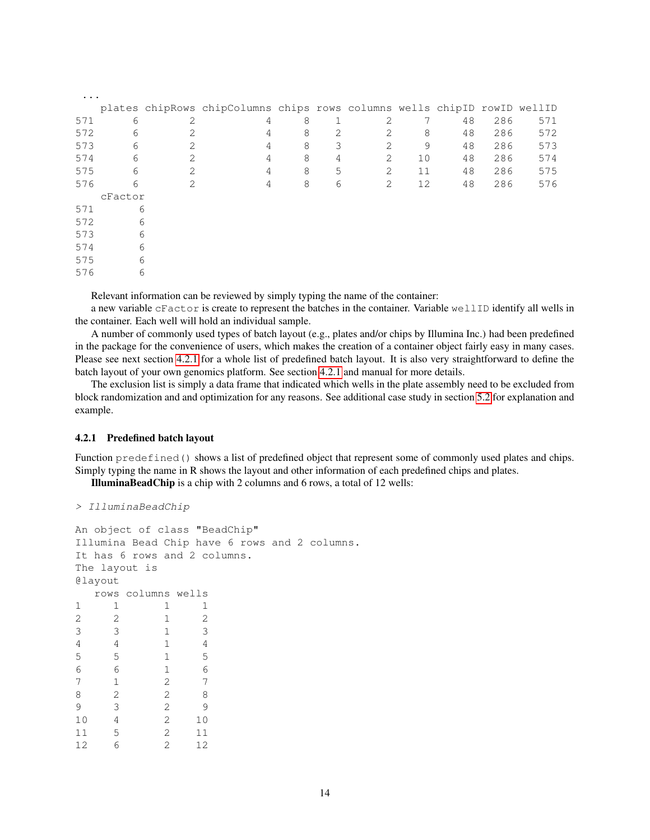| $\ddots$ . |         |                |                                                                          |   |   |                |    |    |     |     |
|------------|---------|----------------|--------------------------------------------------------------------------|---|---|----------------|----|----|-----|-----|
|            |         |                | plates chipRows chipColumns chips rows columns wells chipID rowID wellID |   |   |                |    |    |     |     |
| 571        | 6       | 2              | 4                                                                        | 8 |   | 2              |    | 48 | 286 | 571 |
| 572        | 6       | 2              | 4                                                                        | 8 | 2 | $\mathfrak{D}$ | 8  | 48 | 286 | 572 |
| 573        | 6       | 2              | 4                                                                        | 8 | 3 | $\mathcal{L}$  | 9  | 48 | 286 | 573 |
| 574        | 6       | $\mathcal{L}$  | 4                                                                        | 8 | 4 | $\mathfrak{D}$ | 10 | 48 | 286 | 574 |
| 575        | 6       | 2              | 4                                                                        | 8 | 5 | 2              | 11 | 48 | 286 | 575 |
| 576        | 6       | $\mathfrak{D}$ | 4                                                                        | 8 | 6 | 2              | 12 | 48 | 286 | 576 |
|            | cFactor |                |                                                                          |   |   |                |    |    |     |     |
| 571        | 6       |                |                                                                          |   |   |                |    |    |     |     |
| 572        | 6       |                |                                                                          |   |   |                |    |    |     |     |
| 573        | 6       |                |                                                                          |   |   |                |    |    |     |     |
| 574        | 6       |                |                                                                          |   |   |                |    |    |     |     |
| 575        | 6       |                |                                                                          |   |   |                |    |    |     |     |
| 576        | 6       |                |                                                                          |   |   |                |    |    |     |     |

Relevant information can be reviewed by simply typing the name of the container:

a new variable cFactor is create to represent the batches in the container. Variable wellID identify all wells in the container. Each well will hold an individual sample.

A number of commonly used types of batch layout (e.g., plates and/or chips by Illumina Inc.) had been predefined in the package for the convenience of users, which makes the creation of a container object fairly easy in many cases. Please see next section [4.2.1](#page-13-0) for a whole list of predefined batch layout. It is also very straightforward to define the batch layout of your own genomics platform. See section [4.2.1](#page-13-0) and manual for more details.

The exclusion list is simply a data frame that indicated which wells in the plate assembly need to be excluded from block randomization and and optimization for any reasons. See additional case study in section [5.2](#page-17-2) for explanation and example.

#### <span id="page-13-0"></span>4.2.1 Predefined batch layout

Function predefined () shows a list of predefined object that represent some of commonly used plates and chips. Simply typing the name in R shows the layout and other information of each predefined chips and plates.

IlluminaBeadChip is a chip with 2 columns and 6 rows, a total of 12 wells:

```
> IlluminaBeadChip
```

```
An object of class "BeadChip"
Illumina Bead Chip have 6 rows and 2 columns.
It has 6 rows and 2 columns.
The layout is
@layout
 rows columns wells
1 1 1 1
2 2 1 2
3 3 1 3
4 4 1 4
5 5 1 5
6 6 1 6
7 1 2 7
8 2 2 8
9 3 2 9
10 4 2 10
11 5 2 11
12 6 2 12
```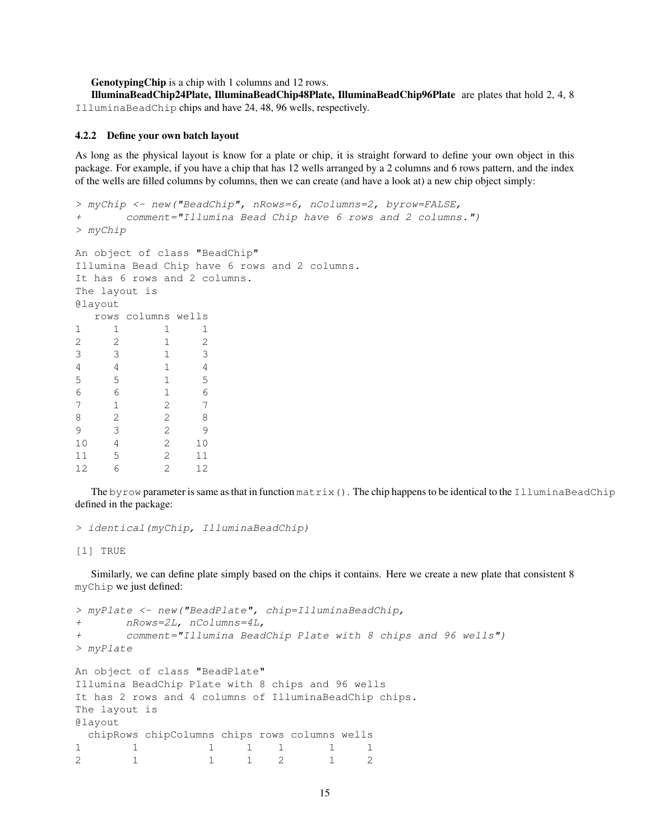GenotypingChip is a chip with 1 columns and 12 rows.

IlluminaBeadChip24Plate, IlluminaBeadChip48Plate, IlluminaBeadChip96Plate are plates that hold 2, 4, 8 IlluminaBeadChip chips and have 24, 48, 96 wells, respectively.

## <span id="page-14-0"></span>4.2.2 Define your own batch layout

As long as the physical layout is know for a plate or chip, it is straight forward to define your own object in this package. For example, if you have a chip that has 12 wells arranged by a 2 columns and 6 rows pattern, and the index of the wells are filled columns by columns, then we can create (and have a look at) a new chip object simply:

```
> myChip <- new("BeadChip", nRows=6, nColumns=2, byrow=FALSE,
+ comment="Illumina Bead Chip have 6 rows and 2 columns.")
> myChip
An object of class "BeadChip"
Illumina Bead Chip have 6 rows and 2 columns.
It has 6 rows and 2 columns.
The layout is
@layout
  rows columns wells
1 1 1 1
2 2 1 2
3 3 1 3
4 4 1 4
5 5 1 5
6 6 1 6
7 1 2 7
8 2 2 8
9 3 2 9
10 4 2 10
11 5 2 11
12 6 2 12
```
The byrow parameter is same as that in function  $matrix()$ . The chip happens to be identical to the IlluminaBeadChip defined in the package:

> identical(myChip, IlluminaBeadChip)

[1] TRUE

Similarly, we can define plate simply based on the chips it contains. Here we create a new plate that consistent 8 myChip we just defined:

```
> myPlate <- new("BeadPlate", chip=IlluminaBeadChip,
+ nRows=2L, nColumns=4L,
+ comment="Illumina BeadChip Plate with 8 chips and 96 wells")
> myPlate
An object of class "BeadPlate"
Illumina BeadChip Plate with 8 chips and 96 wells
It has 2 rows and 4 columns of IlluminaBeadChip chips.
The layout is
@layout
 chipRows chipColumns chips rows columns wells
1 1 1 1 1 1 1 1
2 1 1 1 2 1 2
```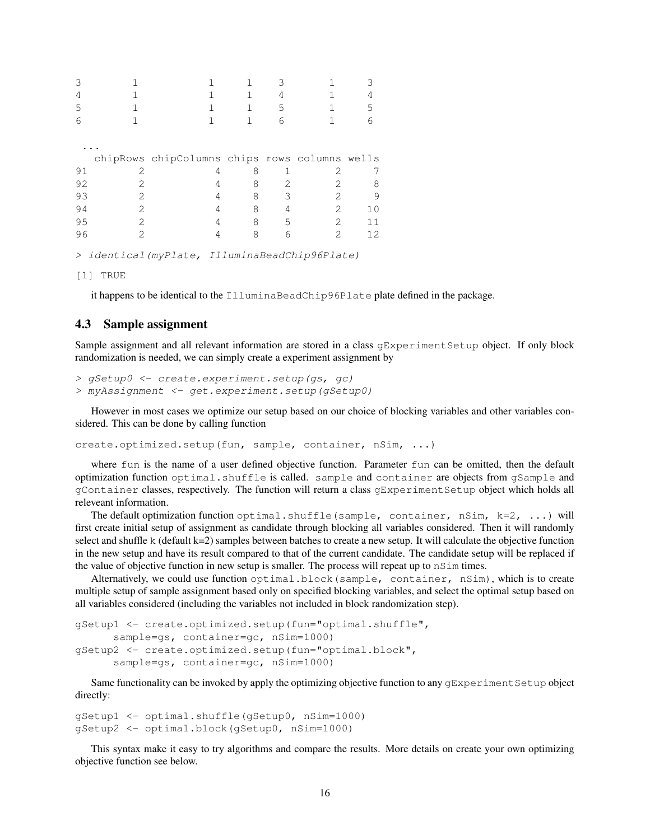| 3  |                                                                                                                                                                                                                                                                                                                                                                                                                         |                                               |   |   |                |    |
|----|-------------------------------------------------------------------------------------------------------------------------------------------------------------------------------------------------------------------------------------------------------------------------------------------------------------------------------------------------------------------------------------------------------------------------|-----------------------------------------------|---|---|----------------|----|
| 4  |                                                                                                                                                                                                                                                                                                                                                                                                                         |                                               |   | 4 |                |    |
| 5  |                                                                                                                                                                                                                                                                                                                                                                                                                         |                                               |   | 5 |                | 5  |
| 6  |                                                                                                                                                                                                                                                                                                                                                                                                                         |                                               |   | 6 |                |    |
|    |                                                                                                                                                                                                                                                                                                                                                                                                                         |                                               |   |   |                |    |
|    |                                                                                                                                                                                                                                                                                                                                                                                                                         |                                               |   |   |                |    |
|    |                                                                                                                                                                                                                                                                                                                                                                                                                         | chipRows chipColumns chips rows columns wells |   |   |                |    |
| 91 |                                                                                                                                                                                                                                                                                                                                                                                                                         | 4                                             | 8 |   | 2              |    |
| 92 | 2                                                                                                                                                                                                                                                                                                                                                                                                                       | 4                                             | 8 | 2 | 2              | 8  |
| 93 | 2                                                                                                                                                                                                                                                                                                                                                                                                                       | 4                                             | 8 | 3 | 2              | 9  |
| 94 | 2                                                                                                                                                                                                                                                                                                                                                                                                                       | 4                                             | 8 | 4 | 2              | 10 |
| 95 | $\mathfrak{D}$                                                                                                                                                                                                                                                                                                                                                                                                          | 4                                             | 8 | 5 | $\mathfrak{D}$ | 11 |
| 96 | $\mathcal{D}_{1}^{(1)} = \mathcal{D}_{2}^{(1)} = \mathcal{D}_{3}^{(1)} = \mathcal{D}_{4}^{(1)} = \mathcal{D}_{5}^{(1)} = \mathcal{D}_{6}^{(1)} = \mathcal{D}_{7}^{(1)} = \mathcal{D}_{8}^{(1)} = \mathcal{D}_{9}^{(1)} = \mathcal{D}_{1}^{(1)} = \mathcal{D}_{1}^{(1)} = \mathcal{D}_{1}^{(1)} = \mathcal{D}_{1}^{(1)} = \mathcal{D}_{2}^{(1)} = \mathcal{D}_{3}^{(1)} = \mathcal{D}_{4}^{(1)} = \mathcal{D}_{5}^{(1)}$ | 4                                             | 8 | 6 | 2              | 12 |
| >  |                                                                                                                                                                                                                                                                                                                                                                                                                         | identical (myPlate, IlluminaBeadChip96Plate)  |   |   |                |    |

[1] TRUE

it happens to be identical to the IlluminaBeadChip96Plate plate defined in the package.

## <span id="page-15-0"></span>4.3 Sample assignment

Sample assignment and all relevant information are stored in a class gExperimentSetup object. If only block randomization is needed, we can simply create a experiment assignment by

> gSetup0 <- create.experiment.setup(gs, gc) > myAssignment <- get.experiment.setup(gSetup0)

However in most cases we optimize our setup based on our choice of blocking variables and other variables considered. This can be done by calling function

create.optimized.setup(fun, sample, container, nSim, ...)

where fun is the name of a user defined objective function. Parameter fun can be omitted, then the default optimization function optimal.shuffle is called. sample and container are objects from gSample and gContainer classes, respectively. The function will return a class gExperimentSetup object which holds all releveant information.

The default optimization function optimal.shuffle(sample, container, nSim,  $k=2$ , ...) will first create initial setup of assignment as candidate through blocking all variables considered. Then it will randomly select and shuffle k (default k=2) samples between batches to create a new setup. It will calculate the objective function in the new setup and have its result compared to that of the current candidate. The candidate setup will be replaced if the value of objective function in new setup is smaller. The process will repeat up to nSim times.

Alternatively, we could use function optimal.block(sample, container, nSim), which is to create multiple setup of sample assignment based only on specified blocking variables, and select the optimal setup based on all variables considered (including the variables not included in block randomization step).

```
gSetup1 <- create.optimized.setup(fun="optimal.shuffle",
      sample=gs, container=gc, nSim=1000)
gSetup2 <- create.optimized.setup(fun="optimal.block",
      sample=gs, container=gc, nSim=1000)
```
Same functionality can be invoked by apply the optimizing objective function to any gExperiment Setup object directly:

```
gSetup1 <- optimal.shuffle(gSetup0, nSim=1000)
gSetup2 <- optimal.block(gSetup0, nSim=1000)
```
This syntax make it easy to try algorithms and compare the results. More details on create your own optimizing objective function see below.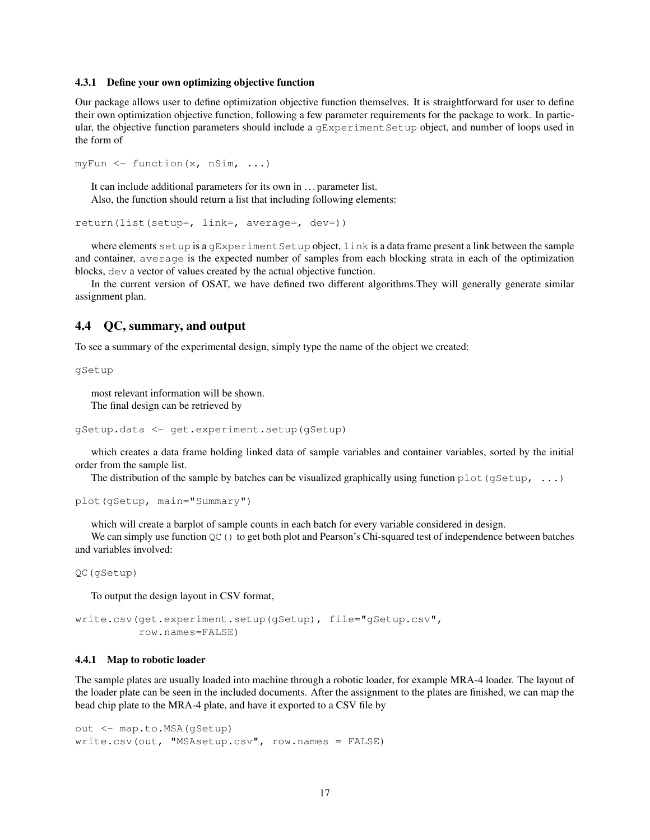#### <span id="page-16-0"></span>4.3.1 Define your own optimizing objective function

Our package allows user to define optimization objective function themselves. It is straightforward for user to define their own optimization objective function, following a few parameter requirements for the package to work. In particular, the objective function parameters should include a gExperimentSetup object, and number of loops used in the form of

```
myFun <- function(x, nSim, ...)
```
It can include additional parameters for its own in . . . parameter list. Also, the function should return a list that including following elements:

```
return(list(setup=, link=, average=, dev=))
```
where elements setup is a gExperiment Setup object, link is a data frame present a link between the sample and container, average is the expected number of samples from each blocking strata in each of the optimization blocks, dev a vector of values created by the actual objective function.

In the current version of OSAT, we have defined two different algorithms.They will generally generate similar assignment plan.

## <span id="page-16-1"></span>4.4 QC, summary, and output

To see a summary of the experimental design, simply type the name of the object we created:

gSetup

most relevant information will be shown. The final design can be retrieved by

```
gSetup.data <- get.experiment.setup(gSetup)
```
which creates a data frame holding linked data of sample variables and container variables, sorted by the initial order from the sample list.

The distribution of the sample by batches can be visualized graphically using function  $plot(gSetup, ...)$ 

```
plot(gSetup, main="Summary")
```
which will create a barplot of sample counts in each batch for every variable considered in design.

We can simply use function  $QC()$  to get both plot and Pearson's Chi-squared test of independence between batches and variables involved:

QC(gSetup)

To output the design layout in CSV format,

```
write.csv(get.experiment.setup(gSetup), file="gSetup.csv",
          row.names=FALSE)
```
#### <span id="page-16-2"></span>4.4.1 Map to robotic loader

The sample plates are usually loaded into machine through a robotic loader, for example MRA-4 loader. The layout of the loader plate can be seen in the included documents. After the assignment to the plates are finished, we can map the bead chip plate to the MRA-4 plate, and have it exported to a CSV file by

```
out <- map.to.MSA(gSetup)
write.csv(out, "MSAsetup.csv", row.names = FALSE)
```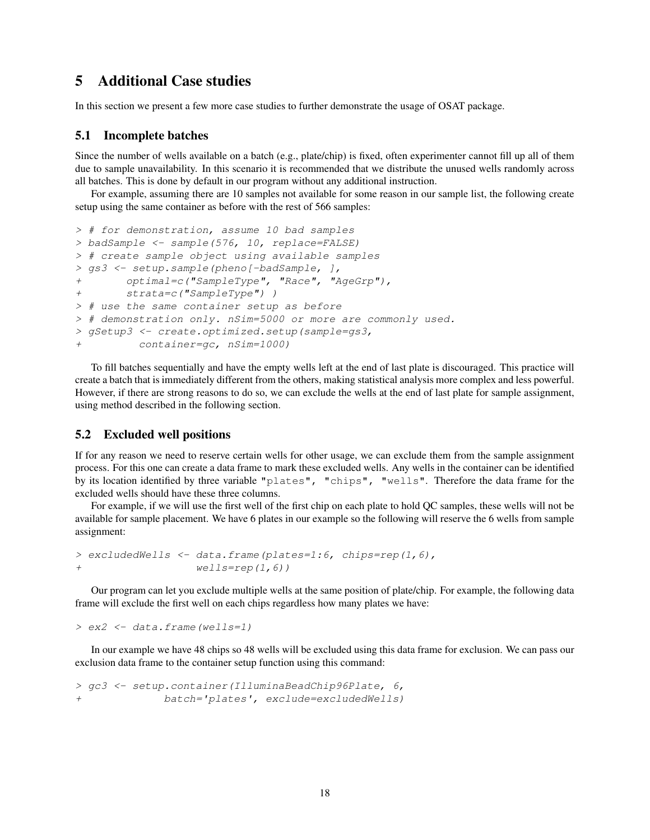# <span id="page-17-0"></span>5 Additional Case studies

In this section we present a few more case studies to further demonstrate the usage of OSAT package.

### <span id="page-17-1"></span>5.1 Incomplete batches

Since the number of wells available on a batch (e.g., plate/chip) is fixed, often experimenter cannot fill up all of them due to sample unavailability. In this scenario it is recommended that we distribute the unused wells randomly across all batches. This is done by default in our program without any additional instruction.

For example, assuming there are 10 samples not available for some reason in our sample list, the following create setup using the same container as before with the rest of 566 samples:

```
> # for demonstration, assume 10 bad samples
> badSample <- sample(576, 10, replace=FALSE)
> # create sample object using available samples
> gs3 <- setup.sample(pheno[-badSample, ],
+ optimal=c("SampleType", "Race", "AgeGrp"),
+ strata=c("SampleType") )
> # use the same container setup as before
> # demonstration only. nSim=5000 or more are commonly used.
> gSetup3 <- create.optimized.setup(sample=gs3,
         container=gc, nSim=1000)
```
To fill batches sequentially and have the empty wells left at the end of last plate is discouraged. This practice will create a batch that is immediately different from the others, making statistical analysis more complex and less powerful. However, if there are strong reasons to do so, we can exclude the wells at the end of last plate for sample assignment, using method described in the following section.

## <span id="page-17-2"></span>5.2 Excluded well positions

If for any reason we need to reserve certain wells for other usage, we can exclude them from the sample assignment process. For this one can create a data frame to mark these excluded wells. Any wells in the container can be identified by its location identified by three variable "plates", "chips", "wells". Therefore the data frame for the excluded wells should have these three columns.

For example, if we will use the first well of the first chip on each plate to hold QC samples, these wells will not be available for sample placement. We have 6 plates in our example so the following will reserve the 6 wells from sample assignment:

```
> excludedWells <- data.frame(plates=1:6, chips=rep(1,6),
+ wells=rep(1,6))
```
Our program can let you exclude multiple wells at the same position of plate/chip. For example, the following data frame will exclude the first well on each chips regardless how many plates we have:

> ex2 <- data.frame(wells=1)

In our example we have 48 chips so 48 wells will be excluded using this data frame for exclusion. We can pass our exclusion data frame to the container setup function using this command:

> gc3 <- setup.container(IlluminaBeadChip96Plate, 6, + batch='plates', exclude=excludedWells)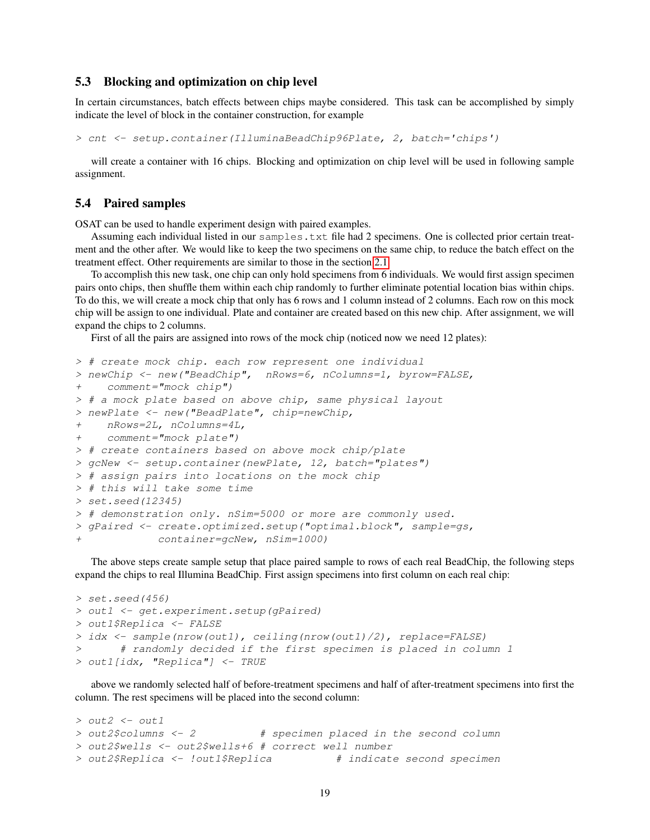## <span id="page-18-0"></span>5.3 Blocking and optimization on chip level

In certain circumstances, batch effects between chips maybe considered. This task can be accomplished by simply indicate the level of block in the container construction, for example

> cnt <- setup.container(IlluminaBeadChip96Plate, 2, batch='chips')

will create a container with 16 chips. Blocking and optimization on chip level will be used in following sample assignment.

## <span id="page-18-1"></span>5.4 Paired samples

OSAT can be used to handle experiment design with paired examples.

Assuming each individual listed in our samples.txt file had 2 specimens. One is collected prior certain treatment and the other after. We would like to keep the two specimens on the same chip, to reduce the batch effect on the treatment effect. Other requirements are similar to those in the section [2.1.](#page-1-1)

To accomplish this new task, one chip can only hold specimens from 6 individuals. We would first assign specimen pairs onto chips, then shuffle them within each chip randomly to further eliminate potential location bias within chips. To do this, we will create a mock chip that only has 6 rows and 1 column instead of 2 columns. Each row on this mock chip will be assign to one individual. Plate and container are created based on this new chip. After assignment, we will expand the chips to 2 columns.

First of all the pairs are assigned into rows of the mock chip (noticed now we need 12 plates):

```
> # create mock chip. each row represent one individual
> newChip <- new("BeadChip", nRows=6, nColumns=1, byrow=FALSE,
+ comment="mock chip")
> # a mock plate based on above chip, same physical layout
> newPlate <- new("BeadPlate", chip=newChip,
+ nRows=2L, nColumns=4L,
+ comment="mock plate")
> # create containers based on above mock chip/plate
> gcNew <- setup.container(newPlate, 12, batch="plates")
> # assign pairs into locations on the mock chip
> # this will take some time
> set.seed(12345)
> # demonstration only. nSim=5000 or more are commonly used.
> gPaired <- create.optimized.setup("optimal.block", sample=gs,
+ container=gcNew, nSim=1000)
```
The above steps create sample setup that place paired sample to rows of each real BeadChip, the following steps expand the chips to real Illumina BeadChip. First assign specimens into first column on each real chip:

```
> set. seed(456)> out1 <- get.experiment.setup(gPaired)
> out1$Replica <- FALSE
> idx <- sample(nrow(out1), ceiling(nrow(out1)/2), replace=FALSE)
       # randomly decided if the first specimen is placed in column 1
> out1[idx, "Replica"] <- TRUE
```
above we randomly selected half of before-treatment specimens and half of after-treatment specimens into first the column. The rest specimens will be placed into the second column:

```
> out2 < - out1> out2$columns <- 2 # specimen placed in the second column
> out2$wells <- out2$wells+6 # correct well number
> out2$Replica <- !out1$Replica # indicate second specimen
```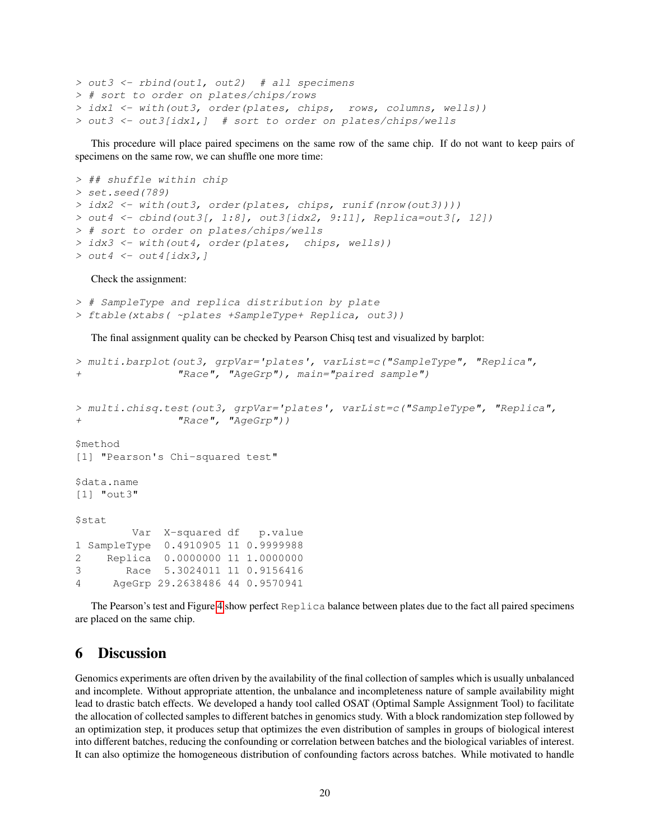```
> out3 <- rbind(out1, out2) # all specimens
> # sort to order on plates/chips/rows
> idx1 <- with(out3, order(plates, chips, rows, columns, wells))
> out3 <- out3[idx1,] # sort to order on plates/chips/wells
```
This procedure will place paired specimens on the same row of the same chip. If do not want to keep pairs of specimens on the same row, we can shuffle one more time:

```
> ## shuffle within chip
> set.seed(789)
> idx2 <- with(out3, order(plates, chips, runif(nrow(out3))))
> out4 \lt- cbind(out3[, 1:8], out3[idx2, 9:11], Replica=out3[, 12])
> # sort to order on plates/chips/wells
> idx3 <- with(out4, order(plates, chips, wells))
> out 4 <- out 4 [idx3, ]
```
Check the assignment:

```
> # SampleType and replica distribution by plate
> ftable(xtabs( ~plates +SampleType+ Replica, out3))
```
The final assignment quality can be checked by Pearson Chisq test and visualized by barplot:

```
> multi.barplot(out3, grpVar='plates', varList=c("SampleType", "Replica",
+ "Race", "AgeGrp"), main="paired sample")
> multi.chisq.test(out3, grpVar='plates', varList=c("SampleType", "Replica",
+ "Race", "AgeGrp"))
$method
[1] "Pearson's Chi-squared test"
$data.name
[1] "out3"
$stat
        Var X-squared df p.value
1 SampleType 0.4910905 11 0.9999988
2 Replica 0.0000000 11 1.0000000
3 Race 5.3024011 11 0.9156416
4 AgeGrp 29.2638486 44 0.9570941
```
The Pearson's test and Figure [4](#page-20-0) show perfect Replica balance between plates due to the fact all paired specimens are placed on the same chip.

# <span id="page-19-0"></span>6 Discussion

Genomics experiments are often driven by the availability of the final collection of samples which is usually unbalanced and incomplete. Without appropriate attention, the unbalance and incompleteness nature of sample availability might lead to drastic batch effects. We developed a handy tool called OSAT (Optimal Sample Assignment Tool) to facilitate the allocation of collected samples to different batches in genomics study. With a block randomization step followed by an optimization step, it produces setup that optimizes the even distribution of samples in groups of biological interest into different batches, reducing the confounding or correlation between batches and the biological variables of interest. It can also optimize the homogeneous distribution of confounding factors across batches. While motivated to handle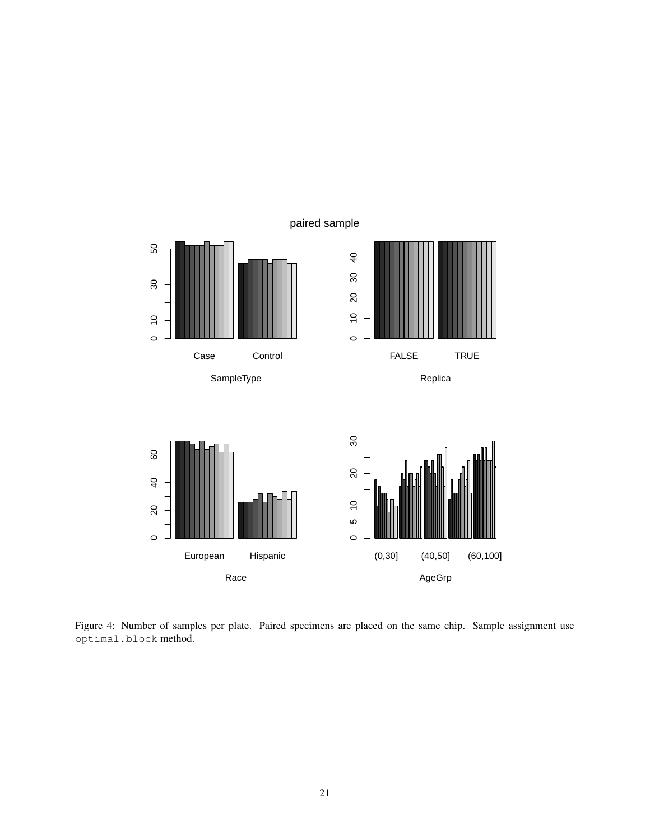

<span id="page-20-0"></span>Figure 4: Number of samples per plate. Paired specimens are placed on the same chip. Sample assignment use optimal.block method.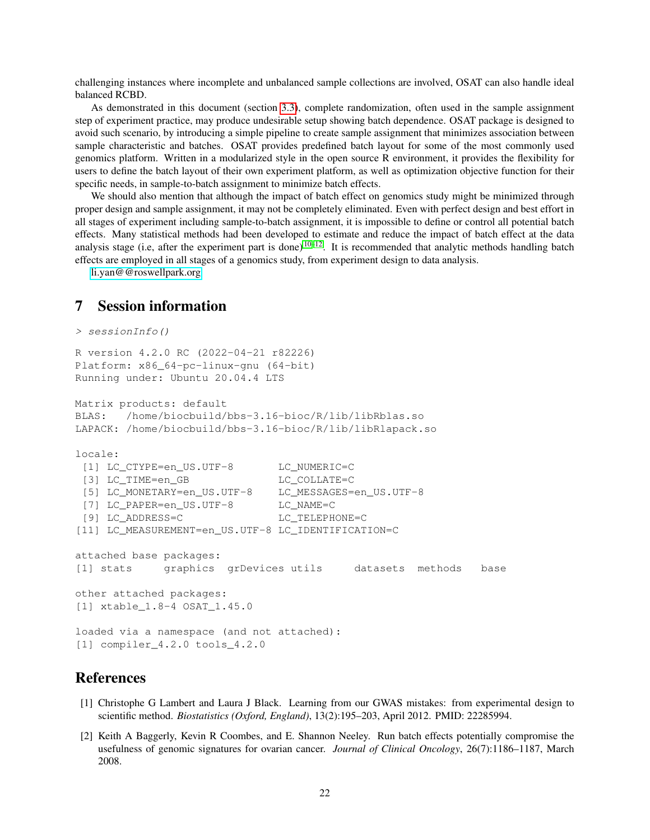challenging instances where incomplete and unbalanced sample collections are involved, OSAT can also handle ideal balanced RCBD.

As demonstrated in this document (section [3.3\)](#page-9-0), complete randomization, often used in the sample assignment step of experiment practice, may produce undesirable setup showing batch dependence. OSAT package is designed to avoid such scenario, by introducing a simple pipeline to create sample assignment that minimizes association between sample characteristic and batches. OSAT provides predefined batch layout for some of the most commonly used genomics platform. Written in a modularized style in the open source R environment, it provides the flexibility for users to define the batch layout of their own experiment platform, as well as optimization objective function for their specific needs, in sample-to-batch assignment to minimize batch effects.

We should also mention that although the impact of batch effect on genomics study might be minimized through proper design and sample assignment, it may not be completely eliminated. Even with perfect design and best effort in all stages of experiment including sample-to-batch assignment, it is impossible to define or control all potential batch effects. Many statistical methods had been developed to estimate and reduce the impact of batch effect at the data analysis stage (i.e, after the experiment part is done)  $10-12$  $10-12$ . It is recommended that analytic methods handling batch effects are employed in all stages of a genomics study, from experiment design to data analysis.

[li.yan@@roswellpark.org](mailto:li.yan@@roswellpark.org)

# <span id="page-21-0"></span>7 Session information

```
> sessionInfo()
R version 4.2.0 RC (2022-04-21 r82226)
Platform: x86_64-pc-linux-gnu (64-bit)
Running under: Ubuntu 20.04.4 LTS
Matrix products: default
BLAS: /home/biocbuild/bbs-3.16-bioc/R/lib/libRblas.so
LAPACK: /home/biocbuild/bbs-3.16-bioc/R/lib/libRlapack.so
locale:
 [1] LC_CTYPE=en_US.UTF-8 LC_NUMERIC=C
 [3] LC_TIME=en_GB LC_COLLATE=C
 [5] LC MONETARY=en US.UTF-8 LC MESSAGES=en US.UTF-8
 [7] LC_PAPER=en_US.UTF-8 LC_NAME=C
 [9] LC_ADDRESS=C LC_TELEPHONE=C
[11] LC_MEASUREMENT=en_US.UTF-8 LC_IDENTIFICATION=C
attached base packages:
[1] stats graphics grDevices utils datasets methods base
other attached packages:
[1] xtable_1.8-4 OSAT_1.45.0
loaded via a namespace (and not attached):
[1] compiler_4.2.0 tools_4.2.0
```
# References

- <span id="page-21-1"></span>[1] Christophe G Lambert and Laura J Black. Learning from our GWAS mistakes: from experimental design to scientific method. *Biostatistics (Oxford, England)*, 13(2):195–203, April 2012. PMID: 22285994.
- <span id="page-21-2"></span>[2] Keith A Baggerly, Kevin R Coombes, and E. Shannon Neeley. Run batch effects potentially compromise the usefulness of genomic signatures for ovarian cancer. *Journal of Clinical Oncology*, 26(7):1186–1187, March 2008.